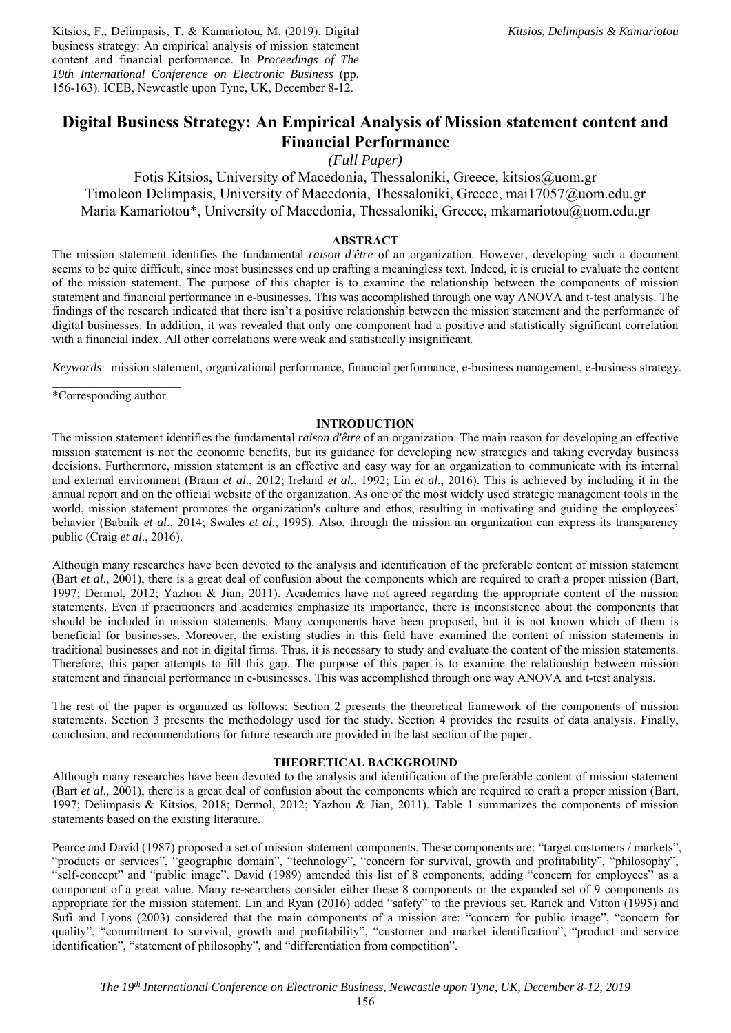Kitsios, F., Delimpasis, T. & Kamariotou, M. (2019). Digital business strategy: An empirical analysis of mission statement content and financial performance. In *Proceedings of The 19th International Conference on Electronic Business* (pp. 156-163). ICEB, Newcastle upon Tyne, UK, December 8-12.

# **Digital Business Strategy: An Empirical Analysis of Mission statement content and Financial Performance**

*(Full Paper)* 

Fotis Kitsios, University of Macedonia, Thessaloniki, Greece, kitsios@uom.gr Timoleon Delimpasis, University of Macedonia, Thessaloniki, Greece, mai17057@uom.edu.gr Maria Kamariotou\*, University of Macedonia, Thessaloniki, Greece, mkamariotou@uom.edu.gr

# **ABSTRACT**

The mission statement identifies the fundamental *raison d'être* of an organization. However, developing such a document seems to be quite difficult, since most businesses end up crafting a meaningless text. Indeed, it is crucial to evaluate the content of the mission statement. The purpose of this chapter is to examine the relationship between the components of mission statement and financial performance in e-businesses. This was accomplished through one way ANOVA and t-test analysis. The findings of the research indicated that there isn't a positive relationship between the mission statement and the performance of digital businesses. In addition, it was revealed that only one component had a positive and statistically significant correlation with a financial index. All other correlations were weak and statistically insignificant.

*Keywords*: mission statement, organizational performance, financial performance, e-business management, e-business strategy.

 $\frac{1}{2}$  ,  $\frac{1}{2}$  ,  $\frac{1}{2}$  ,  $\frac{1}{2}$  ,  $\frac{1}{2}$  ,  $\frac{1}{2}$  ,  $\frac{1}{2}$  ,  $\frac{1}{2}$  ,  $\frac{1}{2}$  ,  $\frac{1}{2}$ \*Corresponding author

## **INTRODUCTION**

The mission statement identifies the fundamental *raison d'être* of an organization. The main reason for developing an effective mission statement is not the economic benefits, but its guidance for developing new strategies and taking everyday business decisions. Furthermore, mission statement is an effective and easy way for an organization to communicate with its internal and external environment (Braun *et al*., 2012; Ireland *et al*., 1992; Lin *et al*., 2016). This is achieved by including it in the annual report and on the official website of the organization. As one of the most widely used strategic management tools in the world, mission statement promotes the organization's culture and ethos, resulting in motivating and guiding the employees' behavior (Babnik *et al*., 2014; Swales *et al*., 1995). Also, through the mission an organization can express its transparency public (Craig *et al*., 2016).

Although many researches have been devoted to the analysis and identification of the preferable content of mission statement (Bart *et al*., 2001), there is a great deal of confusion about the components which are required to craft a proper mission (Bart, 1997; Dermol, 2012; Yazhou & Jian, 2011). Academics have not agreed regarding the appropriate content of the mission statements. Even if practitioners and academics emphasize its importance, there is inconsistence about the components that should be included in mission statements. Many components have been proposed, but it is not known which of them is beneficial for businesses. Moreover, the existing studies in this field have examined the content of mission statements in traditional businesses and not in digital firms. Thus, it is necessary to study and evaluate the content of the mission statements. Therefore, this paper attempts to fill this gap. The purpose of this paper is to examine the relationship between mission statement and financial performance in e-businesses. This was accomplished through one way ANOVA and t-test analysis.

The rest of the paper is organized as follows: Section 2 presents the theoretical framework of the components of mission statements. Section 3 presents the methodology used for the study. Section 4 provides the results of data analysis. Finally, conclusion, and recommendations for future research are provided in the last section of the paper.

## **THEORETICAL BACKGROUND**

Although many researches have been devoted to the analysis and identification of the preferable content of mission statement (Bart *et al*., 2001), there is a great deal of confusion about the components which are required to craft a proper mission (Bart, 1997; Delimpasis & Kitsios, 2018; Dermol, 2012; Yazhou & Jian, 2011). Table 1 summarizes the components of mission statements based on the existing literature.

Pearce and David (1987) proposed a set of mission statement components. These components are: "target customers / markets", "products or services", "geographic domain", "technology", "concern for survival, growth and profitability", "philosophy", "self-concept" and "public image". David (1989) amended this list of 8 components, adding "concern for employees" as a component of a great value. Many re-searchers consider either these 8 components or the expanded set of 9 components as appropriate for the mission statement. Lin and Ryan (2016) added "safety" to the previous set. Rarick and Vitton (1995) and Sufi and Lyons (2003) considered that the main components of a mission are: "concern for public image", "concern for quality", "commitment to survival, growth and profitability", "customer and market identification", "product and service identification", "statement of philosophy", and "differentiation from competition".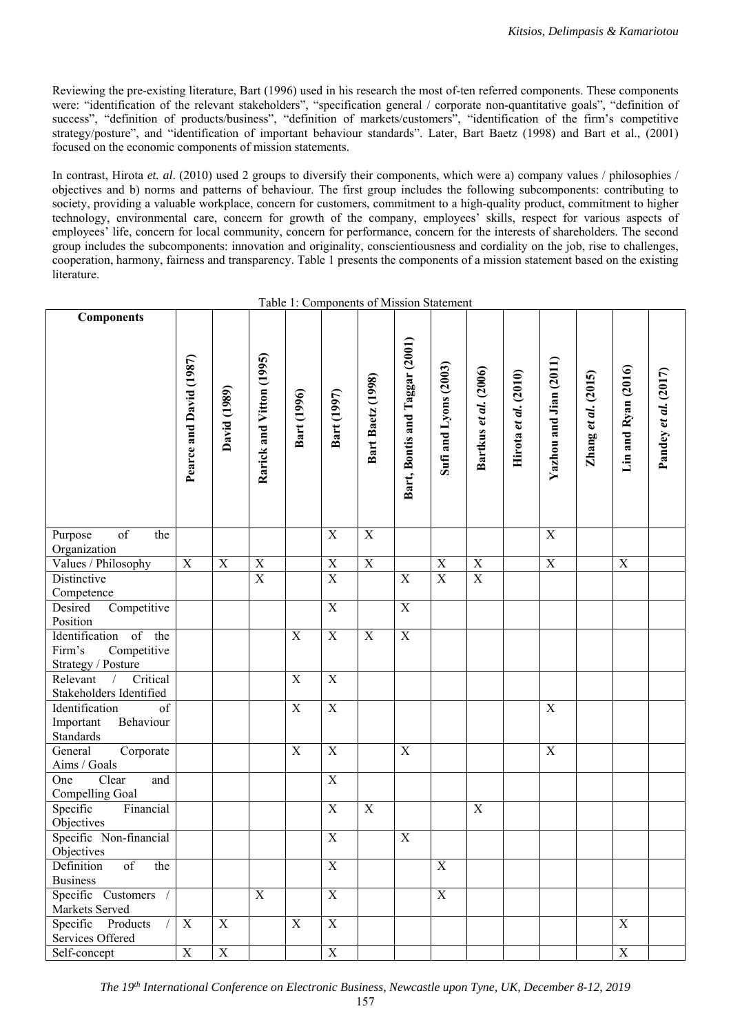Reviewing the pre-existing literature, Bart (1996) used in his research the most of-ten referred components. These components were: "identification of the relevant stakeholders", "specification general / corporate non-quantitative goals", "definition of success", "definition of products/business", "definition of markets/customers", "identification of the firm's competitive strategy/posture", and "identification of important behaviour standards". Later, Bart Baetz (1998) and Bart et al., (2001) focused on the economic components of mission statements.

In contrast, Hirota *et. al*. (2010) used 2 groups to diversify their components, which were a) company values / philosophies / objectives and b) norms and patterns of behaviour. The first group includes the following subcomponents: contributing to society, providing a valuable workplace, concern for customers, commitment to a high-quality product, commitment to higher technology, environmental care, concern for growth of the company, employees' skills, respect for various aspects of employees' life, concern for local community, concern for performance, concern for the interests of shareholders. The second group includes the subcomponents: innovation and originality, conscientiousness and cordiality on the job, rise to challenges, cooperation, harmony, fairness and transparency. Table 1 presents the components of a mission statement based on the existing literature.

| <b>Components</b>                                                   |                         |              |                          |                           |                |                           |                                |                       |                       |                      |                        |                     |                     |                      |
|---------------------------------------------------------------------|-------------------------|--------------|--------------------------|---------------------------|----------------|---------------------------|--------------------------------|-----------------------|-----------------------|----------------------|------------------------|---------------------|---------------------|----------------------|
|                                                                     |                         |              |                          |                           |                |                           |                                |                       |                       |                      |                        |                     |                     |                      |
|                                                                     |                         |              |                          |                           |                |                           | Bart, Bontis and Taggar (2001) |                       |                       |                      |                        |                     |                     |                      |
|                                                                     | Pearce and David (1987) |              | Rarick and Vitton (1995) |                           |                |                           |                                | Sufi and Lyons (2003) | Bartkus et al. (2006) |                      | Yazhou and Jian (2011) |                     | Lin and Ryan (2016) |                      |
|                                                                     |                         | David (1989) |                          |                           |                | Bart Baetz (1998)         |                                |                       |                       | Hirota et al. (2010) |                        | Zhang et al. (2015) |                     | Pandey et al. (2017) |
|                                                                     |                         |              |                          | Bart (1996)               | Bart (1997)    |                           |                                |                       |                       |                      |                        |                     |                     |                      |
|                                                                     |                         |              |                          |                           |                |                           |                                |                       |                       |                      |                        |                     |                     |                      |
|                                                                     |                         |              |                          |                           |                |                           |                                |                       |                       |                      |                        |                     |                     |                      |
|                                                                     |                         |              |                          |                           |                |                           |                                |                       |                       |                      |                        |                     |                     |                      |
|                                                                     |                         |              |                          |                           |                |                           |                                |                       |                       |                      |                        |                     |                     |                      |
|                                                                     |                         |              |                          |                           |                |                           |                                |                       |                       |                      |                        |                     |                     |                      |
| $\overline{\text{of}}$<br>the<br>Purpose                            |                         |              |                          |                           | $\mathbf X$    | $\mathbf X$               |                                |                       |                       |                      | X                      |                     |                     |                      |
| Organization                                                        |                         |              |                          |                           |                |                           |                                |                       |                       |                      |                        |                     |                     |                      |
| Values / Philosophy                                                 | $\mathbf X$             | $\mathbf X$  | $\mathbf X$              |                           | $\mathbf X$    | $\mathbf X$               |                                | $\mathbf X$           | $\mathbf X$           |                      | $\mathbf X$            |                     | $\mathbf X$         |                      |
| Distinctive                                                         |                         |              | $\overline{X}$           |                           | $\overline{X}$ |                           | $\mathbf X$                    | $\overline{X}$        | $\overline{X}$        |                      |                        |                     |                     |                      |
| Competence                                                          |                         |              |                          |                           |                |                           |                                |                       |                       |                      |                        |                     |                     |                      |
| Desired<br>Competitive<br>Position                                  |                         |              |                          |                           | $\mathbf X$    |                           | $\mathbf X$                    |                       |                       |                      |                        |                     |                     |                      |
| Identification<br>of the                                            |                         |              |                          | $\boldsymbol{\mathrm{X}}$ | $\overline{X}$ | $\boldsymbol{\mathrm{X}}$ | $\overline{X}$                 |                       |                       |                      |                        |                     |                     |                      |
| Firm's<br>Competitive                                               |                         |              |                          |                           |                |                           |                                |                       |                       |                      |                        |                     |                     |                      |
| Strategy / Posture                                                  |                         |              |                          |                           |                |                           |                                |                       |                       |                      |                        |                     |                     |                      |
| Critical<br>Relevant<br>$\sqrt{2}$                                  |                         |              |                          | $\mathbf X$               | $\mathbf X$    |                           |                                |                       |                       |                      |                        |                     |                     |                      |
| Stakeholders Identified<br>Identification<br>$\overline{\text{of}}$ |                         |              |                          | $\mathbf X$               | $\overline{X}$ |                           |                                |                       |                       |                      | $\mathbf X$            |                     |                     |                      |
| Important<br>Behaviour                                              |                         |              |                          |                           |                |                           |                                |                       |                       |                      |                        |                     |                     |                      |
| Standards                                                           |                         |              |                          |                           |                |                           |                                |                       |                       |                      |                        |                     |                     |                      |
| General<br>Corporate                                                |                         |              |                          | $\mathbf X$               | $\overline{X}$ |                           | $\mathbf X$                    |                       |                       |                      | $\mathbf X$            |                     |                     |                      |
| Aims / Goals                                                        |                         |              |                          |                           |                |                           |                                |                       |                       |                      |                        |                     |                     |                      |
| Clear<br>One<br>and<br>Compelling Goal                              |                         |              |                          |                           | $\mathbf X$    |                           |                                |                       |                       |                      |                        |                     |                     |                      |
| Specific<br>Financial                                               |                         |              |                          |                           | $\mathbf X$    | $\boldsymbol{\mathrm{X}}$ |                                |                       | $\mathbf X$           |                      |                        |                     |                     |                      |
| Objectives                                                          |                         |              |                          |                           |                |                           |                                |                       |                       |                      |                        |                     |                     |                      |
| Specific Non-financial                                              |                         |              |                          |                           | $\mathbf X$    |                           | $\mathbf X$                    |                       |                       |                      |                        |                     |                     |                      |
| Objectives                                                          |                         |              |                          |                           |                |                           |                                |                       |                       |                      |                        |                     |                     |                      |
| Definition<br>of<br>the                                             |                         |              |                          |                           | X              |                           |                                | X                     |                       |                      |                        |                     |                     |                      |
| <b>Business</b>                                                     |                         |              | X                        |                           | X              |                           |                                | X                     |                       |                      |                        |                     |                     |                      |
| Specific Customers /<br>Markets Served                              |                         |              |                          |                           |                |                           |                                |                       |                       |                      |                        |                     |                     |                      |
| Specific Products<br>$\sqrt{2}$                                     | X                       | $\mathbf X$  |                          | $\mathbf X$               | X              |                           |                                |                       |                       |                      |                        |                     | X                   |                      |
| Services Offered                                                    |                         |              |                          |                           |                |                           |                                |                       |                       |                      |                        |                     |                     |                      |
| Self-concept                                                        | $\mathbf X$             | $\mathbf X$  |                          |                           | $\mathbf X$    |                           |                                |                       |                       |                      |                        |                     | $\mathbf X$         |                      |

Table 1: Components of Mission Statement

<sup>157</sup>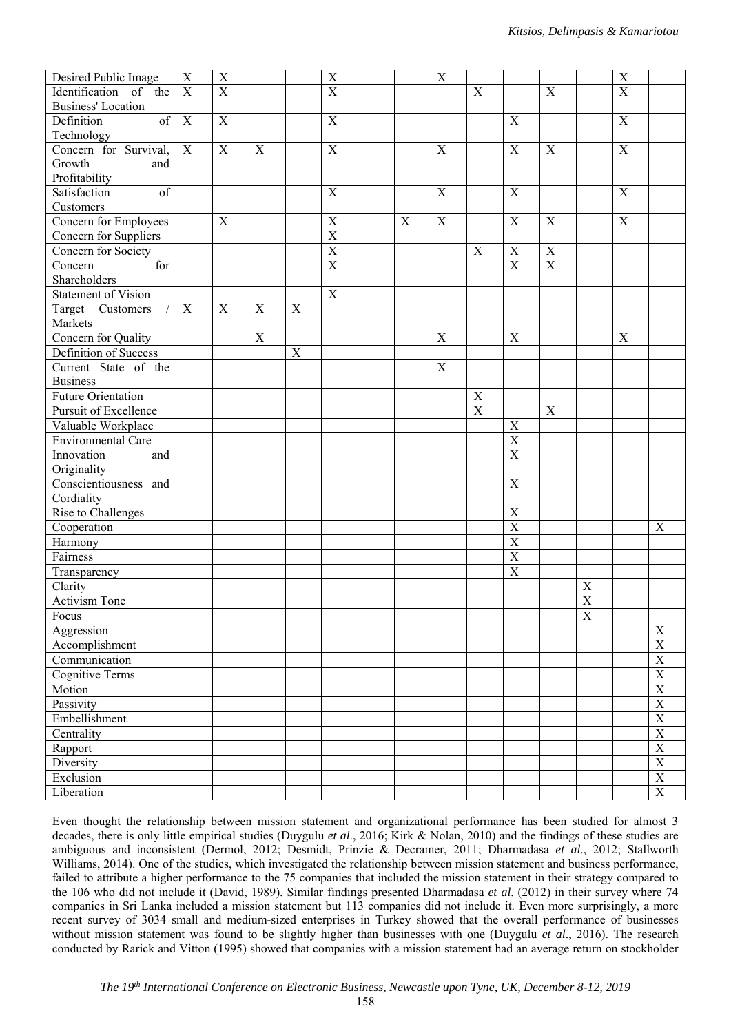| Desired Public Image           | $\mathbf X$    | X              |                |             | $\mathbf X$             |             | $\boldsymbol{\mathrm{X}}$ |             |                         |                |                       | $\mathbf X$    |                                     |
|--------------------------------|----------------|----------------|----------------|-------------|-------------------------|-------------|---------------------------|-------------|-------------------------|----------------|-----------------------|----------------|-------------------------------------|
| Identification of the          | $\overline{X}$ | $\overline{X}$ |                |             | $\overline{X}$          |             |                           | $\mathbf X$ |                         | $\mathbf X$    |                       | $\overline{X}$ |                                     |
| <b>Business'</b> Location      |                |                |                |             |                         |             |                           |             |                         |                |                       |                |                                     |
| Definition<br>of               | $\mathbf X$    | $\mathbf X$    |                |             | $\overline{X}$          |             |                           |             | X                       |                |                       | $\mathbf X$    |                                     |
| Technology                     |                |                |                |             |                         |             |                           |             |                         |                |                       |                |                                     |
| Concern for Survival,          | $\overline{X}$ | $\overline{X}$ | $\overline{X}$ |             | $\overline{X}$          |             | $\mathbf X$               |             | $\overline{X}$          | $\overline{X}$ |                       | $\overline{X}$ |                                     |
| Growth<br>and                  |                |                |                |             |                         |             |                           |             |                         |                |                       |                |                                     |
| Profitability                  |                |                |                |             |                         |             |                           |             |                         |                |                       |                |                                     |
| of<br>Satisfaction             |                |                |                |             | $\mathbf X$             |             | $\mathbf X$               |             | $\overline{X}$          |                |                       | $\mathbf X$    |                                     |
| Customers                      |                |                |                |             |                         |             |                           |             |                         |                |                       |                |                                     |
| Concern for Employees          |                | $\mathbf X$    |                |             | $\mathbf X$             | $\mathbf X$ | $\mathbf X$               |             | $\mathbf X$             | $\mathbf X$    |                       | $\mathbf X$    |                                     |
| Concern for Suppliers          |                |                |                |             | $\overline{X}$          |             |                           |             |                         |                |                       |                |                                     |
| Concern for Society            |                |                |                |             | $\overline{\textbf{X}}$ |             |                           | $\mathbf X$ | $\mathbf X$             | $\overline{X}$ |                       |                |                                     |
| Concern<br>for                 |                |                |                |             | $\overline{X}$          |             |                           |             | $\overline{X}$          | $\overline{X}$ |                       |                |                                     |
| Shareholders                   |                |                |                |             |                         |             |                           |             |                         |                |                       |                |                                     |
| <b>Statement of Vision</b>     |                |                |                |             | $\overline{X}$          |             |                           |             |                         |                |                       |                |                                     |
| Target Customers<br>$\sqrt{2}$ | $\mathbf X$    | $\mathbf X$    | $\mathbf X$    | $\mathbf X$ |                         |             |                           |             |                         |                |                       |                |                                     |
| Markets                        |                |                |                |             |                         |             |                           |             |                         |                |                       |                |                                     |
| Concern for Quality            |                |                | $\mathbf X$    |             |                         |             | $\mathbf X$               |             | $\boldsymbol{X}$        |                |                       | $\mathbf X$    |                                     |
| Definition of Success          |                |                |                | $\mathbf X$ |                         |             |                           |             |                         |                |                       |                |                                     |
| Current State of the           |                |                |                |             |                         |             | $\mathbf X$               |             |                         |                |                       |                |                                     |
| <b>Business</b>                |                |                |                |             |                         |             |                           |             |                         |                |                       |                |                                     |
| Future Orientation             |                |                |                |             |                         |             |                           | $\mathbf X$ |                         |                |                       |                |                                     |
| Pursuit of Excellence          |                |                |                |             |                         |             |                           | $\mathbf X$ |                         | $\mathbf X$    |                       |                |                                     |
| Valuable Workplace             |                |                |                |             |                         |             |                           |             | $\mathbf X$             |                |                       |                |                                     |
| Environmental Care             |                |                |                |             |                         |             |                           |             | $\overline{\mathbf{X}}$ |                |                       |                |                                     |
| Innovation<br>and              |                |                |                |             |                         |             |                           |             | $\mathbf X$             |                |                       |                |                                     |
| Originality                    |                |                |                |             |                         |             |                           |             |                         |                |                       |                |                                     |
| Conscientiousness and          |                |                |                |             |                         |             |                           |             | X                       |                |                       |                |                                     |
| Cordiality                     |                |                |                |             |                         |             |                           |             |                         |                |                       |                |                                     |
| Rise to Challenges             |                |                |                |             |                         |             |                           |             | $\mathbf X$             |                |                       |                |                                     |
| Cooperation                    |                |                |                |             |                         |             |                           |             | $\overline{\textbf{X}}$ |                |                       |                | X                                   |
| Harmony                        |                |                |                |             |                         |             |                           |             | $\overline{X}$          |                |                       |                |                                     |
| Fairness                       |                |                |                |             |                         |             |                           |             | $\overline{\textbf{X}}$ |                |                       |                |                                     |
| Transparency                   |                |                |                |             |                         |             |                           |             | $\overline{X}$          |                |                       |                |                                     |
| Clarity                        |                |                |                |             |                         |             |                           |             |                         |                | $\mathbf X$           |                |                                     |
| Activism Tone                  |                |                |                |             |                         |             |                           |             |                         |                | $\overline{X}$        |                |                                     |
| Focus                          |                |                |                |             |                         |             |                           |             |                         |                | $\overline{\text{X}}$ |                |                                     |
| Aggression                     |                |                |                |             |                         |             |                           |             |                         |                |                       |                | $\mathbf X$                         |
| Accomplishment                 |                |                |                |             |                         |             |                           |             |                         |                |                       |                | $\overline{\textbf{X}}$             |
| Communication                  |                |                |                |             |                         |             |                           |             |                         |                |                       |                | $\frac{\overline{X}}{\overline{X}}$ |
| <b>Cognitive Terms</b>         |                |                |                |             |                         |             |                           |             |                         |                |                       |                |                                     |
| Motion                         |                |                |                |             |                         |             |                           |             |                         |                |                       |                | $\frac{\overline{X}}{\overline{X}}$ |
| Passivity                      |                |                |                |             |                         |             |                           |             |                         |                |                       |                |                                     |
| Embellishment                  |                |                |                |             |                         |             |                           |             |                         |                |                       |                | $\frac{X}{X}$                       |
| Centrality                     |                |                |                |             |                         |             |                           |             |                         |                |                       |                |                                     |
| Rapport                        |                |                |                |             |                         |             |                           |             |                         |                |                       |                | $\overline{\textbf{X}}$             |
| Diversity                      |                |                |                |             |                         |             |                           |             |                         |                |                       |                | $\frac{\overline{X}}{X}$            |
| Exclusion                      |                |                |                |             |                         |             |                           |             |                         |                |                       |                |                                     |
| Liberation                     |                |                |                |             |                         |             |                           |             |                         |                |                       |                | $\overline{\textbf{X}}$             |

Even thought the relationship between mission statement and organizational performance has been studied for almost 3 decades, there is only little empirical studies (Duygulu *et al*., 2016; Kirk & Nolan, 2010) and the findings of these studies are ambiguous and inconsistent (Dermol, 2012; Desmidt, Prinzie & Decramer, 2011; Dharmadasa *et al*., 2012; Stallworth Williams, 2014). One of the studies, which investigated the relationship between mission statement and business performance, failed to attribute a higher performance to the 75 companies that included the mission statement in their strategy compared to the 106 who did not include it (David, 1989). Similar findings presented Dharmadasa *et al*. (2012) in their survey where 74 companies in Sri Lanka included a mission statement but 113 companies did not include it. Even more surprisingly, a more recent survey of 3034 small and medium-sized enterprises in Turkey showed that the overall performance of businesses without mission statement was found to be slightly higher than businesses with one (Duygulu *et al*., 2016). The research conducted by Rarick and Vitton (1995) showed that companies with a mission statement had an average return on stockholder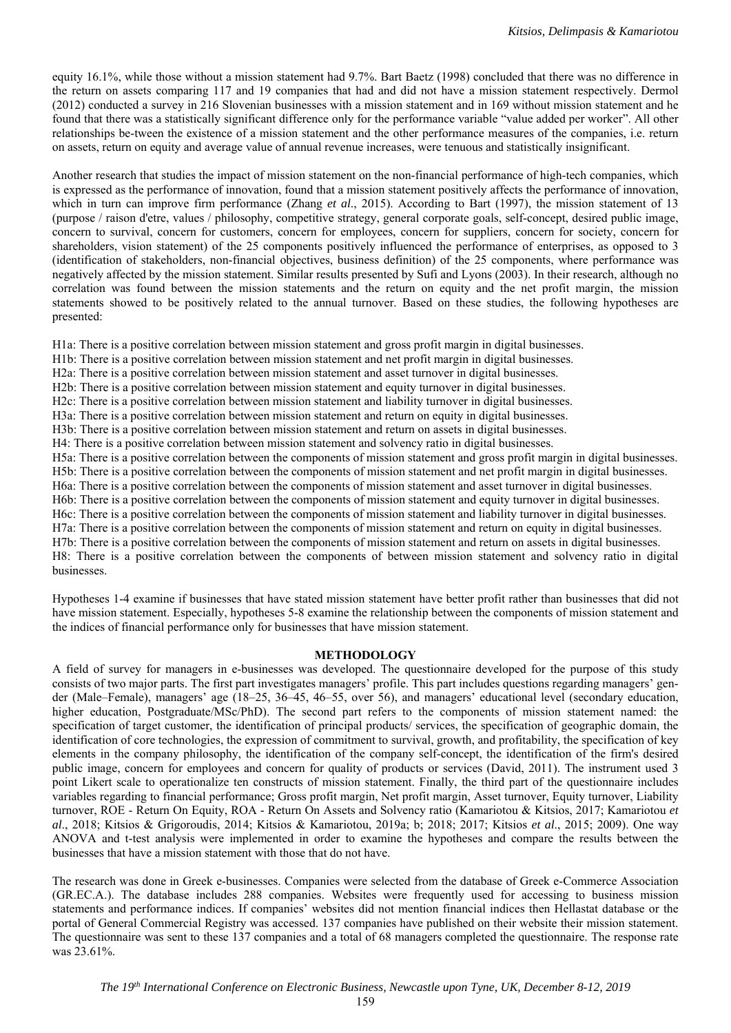equity 16.1%, while those without a mission statement had 9.7%. Bart Baetz (1998) concluded that there was no difference in the return on assets comparing 117 and 19 companies that had and did not have a mission statement respectively. Dermol (2012) conducted a survey in 216 Slovenian businesses with a mission statement and in 169 without mission statement and he found that there was a statistically significant difference only for the performance variable "value added per worker". All other relationships be-tween the existence of a mission statement and the other performance measures of the companies, i.e. return on assets, return on equity and average value of annual revenue increases, were tenuous and statistically insignificant.

Another research that studies the impact of mission statement on the non-financial performance of high-tech companies, which is expressed as the performance of innovation, found that a mission statement positively affects the performance of innovation, which in turn can improve firm performance (Zhang *et al.*, 2015). According to Bart (1997), the mission statement of 13 (purpose / raison d'etre, values / philosophy, competitive strategy, general corporate goals, self-concept, desired public image, concern to survival, concern for customers, concern for employees, concern for suppliers, concern for society, concern for shareholders, vision statement) of the 25 components positively influenced the performance of enterprises, as opposed to 3 (identification of stakeholders, non-financial objectives, business definition) of the 25 components, where performance was negatively affected by the mission statement. Similar results presented by Sufi and Lyons (2003). In their research, although no correlation was found between the mission statements and the return on equity and the net profit margin, the mission statements showed to be positively related to the annual turnover. Based on these studies, the following hypotheses are presented:

H1a: There is a positive correlation between mission statement and gross profit margin in digital businesses.

H1b: There is a positive correlation between mission statement and net profit margin in digital businesses.

H2a: There is a positive correlation between mission statement and asset turnover in digital businesses.

H2b: There is a positive correlation between mission statement and equity turnover in digital businesses.

H2c: There is a positive correlation between mission statement and liability turnover in digital businesses.

H3a: There is a positive correlation between mission statement and return on equity in digital businesses.

H3b: There is a positive correlation between mission statement and return on assets in digital businesses.

H4: There is a positive correlation between mission statement and solvency ratio in digital businesses.

H5a: There is a positive correlation between the components of mission statement and gross profit margin in digital businesses. H5b: There is a positive correlation between the components of mission statement and net profit margin in digital businesses.

H6a: There is a positive correlation between the components of mission statement and asset turnover in digital businesses.

H6b: There is a positive correlation between the components of mission statement and equity turnover in digital businesses.

H6c: There is a positive correlation between the components of mission statement and liability turnover in digital businesses.

H7a: There is a positive correlation between the components of mission statement and return on equity in digital businesses.

H7b: There is a positive correlation between the components of mission statement and return on assets in digital businesses. H8: There is a positive correlation between the components of between mission statement and solvency ratio in digital businesses.

Hypotheses 1-4 examine if businesses that have stated mission statement have better profit rather than businesses that did not have mission statement. Especially, hypotheses 5-8 examine the relationship between the components of mission statement and the indices of financial performance only for businesses that have mission statement.

## **METHODOLOGY**

A field of survey for managers in e-businesses was developed. The questionnaire developed for the purpose of this study consists of two major parts. The first part investigates managers' profile. This part includes questions regarding managers' gender (Male–Female), managers' age (18–25, 36–45, 46–55, over 56), and managers' educational level (secondary education, higher education, Postgraduate/MSc/PhD). The second part refers to the components of mission statement named: the specification of target customer, the identification of principal products/ services, the specification of geographic domain, the identification of core technologies, the expression of commitment to survival, growth, and profitability, the specification of key elements in the company philosophy, the identification of the company self-concept, the identification of the firm's desired public image, concern for employees and concern for quality of products or services (David, 2011). The instrument used 3 point Likert scale to operationalize ten constructs of mission statement. Finally, the third part of the questionnaire includes variables regarding to financial performance; Gross profit margin, Net profit margin, Asset turnover, Equity turnover, Liability turnover, ROE - Return On Equity, ROA - Return On Assets and Solvency ratio (Kamariotou & Kitsios, 2017; Kamariotou *et al*., 2018; Kitsios & Grigoroudis, 2014; Kitsios & Kamariotou, 2019a; b; 2018; 2017; Kitsios *et al*., 2015; 2009). One way ANOVA and t-test analysis were implemented in order to examine the hypotheses and compare the results between the businesses that have a mission statement with those that do not have.

The research was done in Greek e-businesses. Companies were selected from the database of Greek e-Commerce Association (GR.EC.A.). The database includes 288 companies. Websites were frequently used for accessing to business mission statements and performance indices. If companies' websites did not mention financial indices then Hellastat database or the portal of General Commercial Registry was accessed. 137 companies have published on their website their mission statement. The questionnaire was sent to these 137 companies and a total of 68 managers completed the questionnaire. The response rate was 23.61%.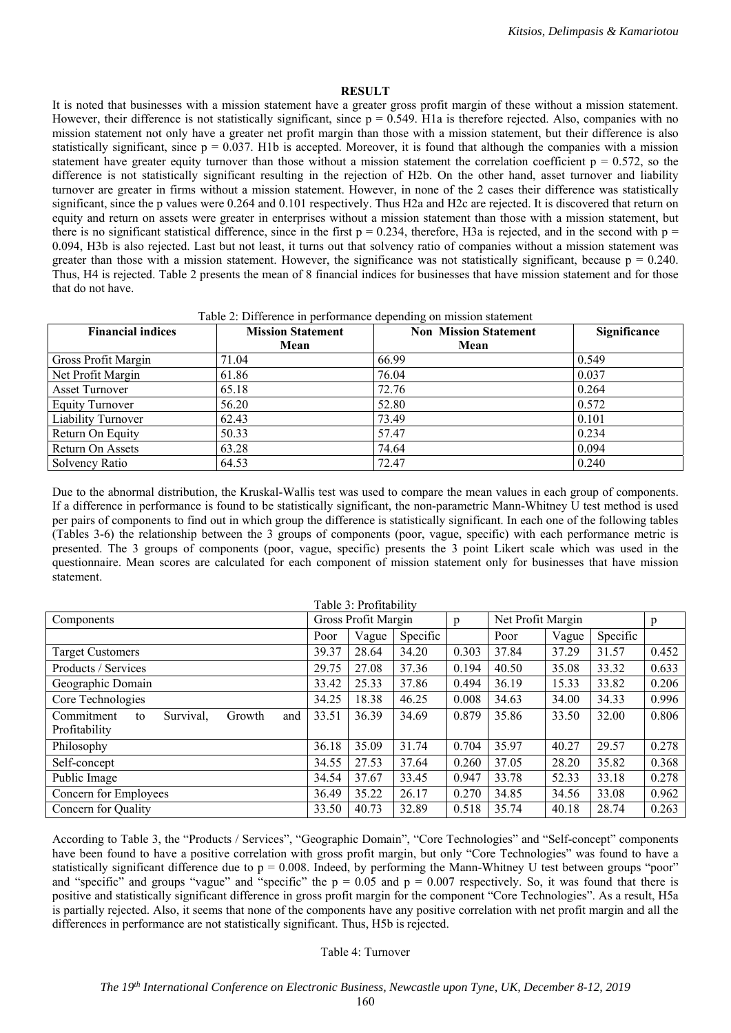#### **RESULT**

It is noted that businesses with a mission statement have a greater gross profit margin of these without a mission statement. However, their difference is not statistically significant, since  $p = 0.549$ . H1a is therefore rejected. Also, companies with no mission statement not only have a greater net profit margin than those with a mission statement, but their difference is also statistically significant, since  $p = 0.037$ . H1b is accepted. Moreover, it is found that although the companies with a mission statement have greater equity turnover than those without a mission statement the correlation coefficient  $p = 0.572$ , so the difference is not statistically significant resulting in the rejection of H2b. On the other hand, asset turnover and liability turnover are greater in firms without a mission statement. However, in none of the 2 cases their difference was statistically significant, since the p values were 0.264 and 0.101 respectively. Thus H2a and H2c are rejected. It is discovered that return on equity and return on assets were greater in enterprises without a mission statement than those with a mission statement, but there is no significant statistical difference, since in the first  $p = 0.234$ , therefore, H3a is rejected, and in the second with  $p =$ 0.094, H3b is also rejected. Last but not least, it turns out that solvency ratio of companies without a mission statement was greater than those with a mission statement. However, the significance was not statistically significant, because  $p = 0.240$ . Thus, H4 is rejected. Table 2 presents the mean of 8 financial indices for businesses that have mission statement and for those that do not have.

Table 2: Difference in performance depending on mission statement

| <b>Financial indices</b> | <b>Mission Statement</b> | <b>Non Mission Statement</b> | Significance |
|--------------------------|--------------------------|------------------------------|--------------|
|                          | Mean                     | Mean                         |              |
| Gross Profit Margin      | 71.04                    | 66.99                        | 0.549        |
| Net Profit Margin        | 61.86                    | 76.04                        | 0.037        |
| <b>Asset Turnover</b>    | 65.18                    | 72.76                        | 0.264        |
| <b>Equity Turnover</b>   | 56.20                    | 52.80                        | 0.572        |
| Liability Turnover       | 62.43                    | 73.49                        | 0.101        |
| Return On Equity         | 50.33                    | 57.47                        | 0.234        |
| Return On Assets         | 63.28                    | 74.64                        | 0.094        |
| Solvency Ratio           | 64.53                    | 72.47                        | 0.240        |

Due to the abnormal distribution, the Kruskal-Wallis test was used to compare the mean values in each group of components. If a difference in performance is found to be statistically significant, the non-parametric Mann-Whitney U test method is used per pairs of components to find out in which group the difference is statistically significant. In each one of the following tables (Tables 3-6) the relationship between the 3 groups of components (poor, vague, specific) with each performance metric is presented. The 3 groups of components (poor, vague, specific) presents the 3 point Likert scale which was used in the questionnaire. Mean scores are calculated for each component of mission statement only for businesses that have mission statement.

| Table 3: Profitability                                          |       |                     |          |       |                   |       |          |       |  |  |  |
|-----------------------------------------------------------------|-------|---------------------|----------|-------|-------------------|-------|----------|-------|--|--|--|
| Components                                                      |       | Gross Profit Margin |          | p     | Net Profit Margin |       |          | p     |  |  |  |
|                                                                 | Poor  | Vague               | Specific |       | Poor              | Vague | Specific |       |  |  |  |
| Target Customers                                                | 39.37 | 28.64               | 34.20    | 0.303 | 37.84             | 37.29 | 31.57    | 0.452 |  |  |  |
| Products / Services                                             | 29.75 | 27.08               | 37.36    | 0.194 | 40.50             | 35.08 | 33.32    | 0.633 |  |  |  |
| Geographic Domain                                               | 33.42 | 25.33               | 37.86    | 0.494 | 36.19             | 15.33 | 33.82    | 0.206 |  |  |  |
| Core Technologies                                               | 34.25 | 18.38               | 46.25    | 0.008 | 34.63             | 34.00 | 34.33    | 0.996 |  |  |  |
| Commitment<br>Survival.<br>Growth<br>and<br>to<br>Profitability | 33.51 | 36.39               | 34.69    | 0.879 | 35.86             | 33.50 | 32.00    | 0.806 |  |  |  |
| Philosophy                                                      | 36.18 | 35.09               | 31.74    | 0.704 | 35.97             | 40.27 | 29.57    | 0.278 |  |  |  |
| Self-concept                                                    | 34.55 | 27.53               | 37.64    | 0.260 | 37.05             | 28.20 | 35.82    | 0.368 |  |  |  |
| Public Image                                                    | 34.54 | 37.67               | 33.45    | 0.947 | 33.78             | 52.33 | 33.18    | 0.278 |  |  |  |
| Concern for Employees                                           | 36.49 | 35.22               | 26.17    | 0.270 | 34.85             | 34.56 | 33.08    | 0.962 |  |  |  |
| Concern for Quality                                             | 33.50 | 40.73               | 32.89    | 0.518 | 35.74             | 40.18 | 28.74    | 0.263 |  |  |  |

According to Table 3, the "Products / Services", "Geographic Domain", "Core Technologies" and "Self-concept" components have been found to have a positive correlation with gross profit margin, but only "Core Technologies" was found to have a statistically significant difference due to  $p = 0.008$ . Indeed, by performing the Mann-Whitney U test between groups "poor" and "specific" and groups "vague" and "specific" the  $p = 0.05$  and  $p = 0.007$  respectively. So, it was found that there is positive and statistically significant difference in gross profit margin for the component "Core Technologies". As a result, H5a is partially rejected. Also, it seems that none of the components have any positive correlation with net profit margin and all the differences in performance are not statistically significant. Thus, H5b is rejected.

#### Table 4: Turnover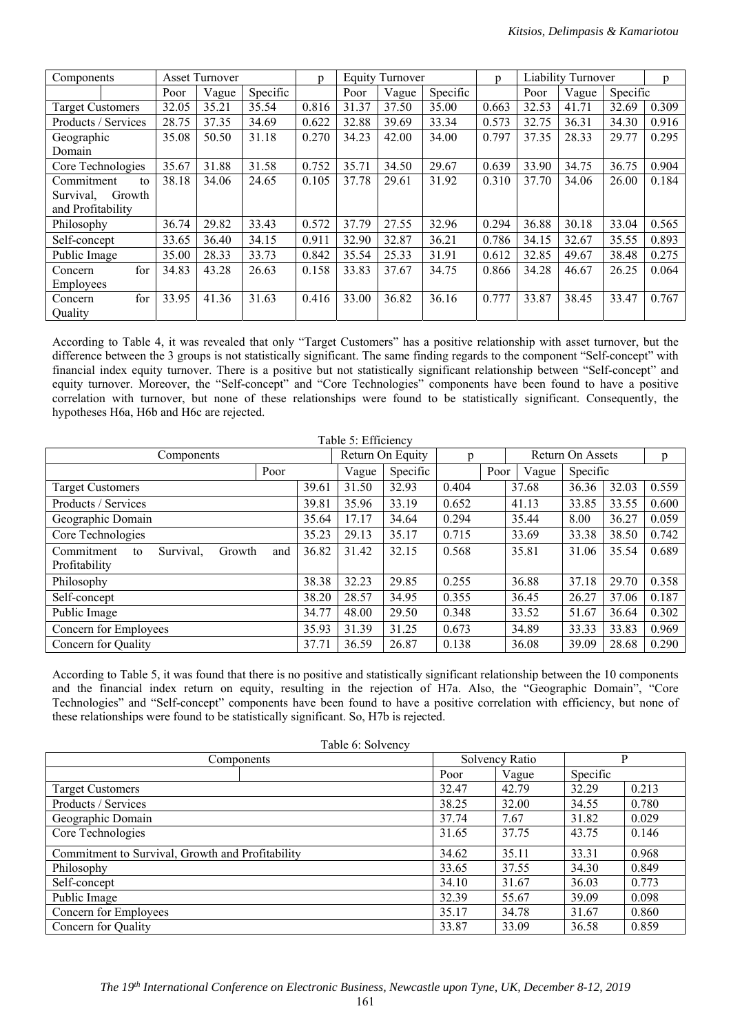| <b>Asset Turnover</b><br>Components |        | $\mathbf{D}$ | <b>Equity Turnover</b> |          |       | $\mathbf{D}$ | Liability Turnover |          |       | n.    |       |          |       |
|-------------------------------------|--------|--------------|------------------------|----------|-------|--------------|--------------------|----------|-------|-------|-------|----------|-------|
|                                     |        | Poor         | Vague                  | Specific |       | Poor         | Vague              | Specific |       | Poor  | Vague | Specific |       |
| <b>Target Customers</b>             |        | 32.05        | 35.21                  | 35.54    | 0.816 | 31.37        | 37.50              | 35.00    | 0.663 | 32.53 | 41.71 | 32.69    | 0.309 |
| Products / Services                 |        | 28.75        | 37.35                  | 34.69    | 0.622 | 32.88        | 39.69              | 33.34    | 0.573 | 32.75 | 36.31 | 34.30    | 0.916 |
| Geographic                          |        | 35.08        | 50.50                  | 31.18    | 0.270 | 34.23        | 42.00              | 34.00    | 0.797 | 37.35 | 28.33 | 29.77    | 0.295 |
| Domain                              |        |              |                        |          |       |              |                    |          |       |       |       |          |       |
| Core Technologies                   |        | 35.67        | 31.88                  | 31.58    | 0.752 | 35.71        | 34.50              | 29.67    | 0.639 | 33.90 | 34.75 | 36.75    | 0.904 |
| Commitment                          | to     | 38.18        | 34.06                  | 24.65    | 0.105 | 37.78        | 29.61              | 31.92    | 0.310 | 37.70 | 34.06 | 26.00    | 0.184 |
| Survival.                           | Growth |              |                        |          |       |              |                    |          |       |       |       |          |       |
| and Profitability                   |        |              |                        |          |       |              |                    |          |       |       |       |          |       |
| Philosophy                          |        | 36.74        | 29.82                  | 33.43    | 0.572 | 37.79        | 27.55              | 32.96    | 0.294 | 36.88 | 30.18 | 33.04    | 0.565 |
| Self-concept                        |        | 33.65        | 36.40                  | 34.15    | 0.911 | 32.90        | 32.87              | 36.21    | 0.786 | 34.15 | 32.67 | 35.55    | 0.893 |
| Public Image                        |        | 35.00        | 28.33                  | 33.73    | 0.842 | 35.54        | 25.33              | 31.91    | 0.612 | 32.85 | 49.67 | 38.48    | 0.275 |
| Concern                             | for    | 34.83        | 43.28                  | 26.63    | 0.158 | 33.83        | 37.67              | 34.75    | 0.866 | 34.28 | 46.67 | 26.25    | 0.064 |
| Employees                           |        |              |                        |          |       |              |                    |          |       |       |       |          |       |
| Concern                             | for    | 33.95        | 41.36                  | 31.63    | 0.416 | 33.00        | 36.82              | 36.16    | 0.777 | 33.87 | 38.45 | 33.47    | 0.767 |
| Quality                             |        |              |                        |          |       |              |                    |          |       |       |       |          |       |

According to Table 4, it was revealed that only "Target Customers" has a positive relationship with asset turnover, but the difference between the 3 groups is not statistically significant. The same finding regards to the component "Self-concept" with financial index equity turnover. There is a positive but not statistically significant relationship between "Self-concept" and equity turnover. Moreover, the "Self-concept" and "Core Technologies" components have been found to have a positive correlation with turnover, but none of these relationships were found to be statistically significant. Consequently, the hypotheses H6a, H6b and H6c are rejected.

| Table 5: Efficiency                            |       |       |                  |       |      |                  |          |       |       |  |  |  |
|------------------------------------------------|-------|-------|------------------|-------|------|------------------|----------|-------|-------|--|--|--|
| Components                                     |       |       | Return On Equity | p     |      | Return On Assets |          |       | p     |  |  |  |
| Poor                                           |       | Vague | Specific         |       | Poor | Vague            | Specific |       |       |  |  |  |
| <b>Target Customers</b>                        | 39.61 | 31.50 | 32.93            | 0.404 |      | 37.68            | 36.36    | 32.03 | 0.559 |  |  |  |
| Products / Services                            | 39.81 | 35.96 | 33.19            | 0.652 |      | 41.13            | 33.85    | 33.55 | 0.600 |  |  |  |
| Geographic Domain                              | 35.64 | 17.17 | 34.64            | 0.294 |      | 35.44            | 8.00     | 36.27 | 0.059 |  |  |  |
| Core Technologies                              | 35.23 | 29.13 | 35.17            | 0.715 |      | 33.69            | 33.38    | 38.50 | 0.742 |  |  |  |
| Survival,<br>Commitment<br>Growth<br>and<br>to | 36.82 | 31.42 | 32.15            | 0.568 |      | 35.81            | 31.06    | 35.54 | 0.689 |  |  |  |
| Profitability                                  |       |       |                  |       |      |                  |          |       |       |  |  |  |
| Philosophy                                     | 38.38 | 32.23 | 29.85            | 0.255 |      | 36.88            | 37.18    | 29.70 | 0.358 |  |  |  |
| Self-concept                                   | 38.20 | 28.57 | 34.95            | 0.355 |      | 36.45            | 26.27    | 37.06 | 0.187 |  |  |  |
| Public Image                                   | 34.77 | 48.00 | 29.50            | 0.348 |      | 33.52            | 51.67    | 36.64 | 0.302 |  |  |  |
| Concern for Employees                          | 35.93 | 31.39 | 31.25            | 0.673 |      | 34.89            | 33.33    | 33.83 | 0.969 |  |  |  |
| Concern for Quality                            | 37.71 | 36.59 | 26.87            | 0.138 |      | 36.08            | 39.09    | 28.68 | 0.290 |  |  |  |

According to Table 5, it was found that there is no positive and statistically significant relationship between the 10 components and the financial index return on equity, resulting in the rejection of H7a. Also, the "Geographic Domain", "Core Technologies" and "Self-concept" components have been found to have a positive correlation with efficiency, but none of these relationships were found to be statistically significant. So, H7b is rejected.

| Table 6: Solvency                                |       |                |          |       |  |
|--------------------------------------------------|-------|----------------|----------|-------|--|
| Components                                       |       | Solvency Ratio | P        |       |  |
|                                                  | Poor  | Vague          | Specific |       |  |
| <b>Target Customers</b>                          | 32.47 | 42.79          | 32.29    | 0.213 |  |
| Products / Services                              | 38.25 | 32.00          | 34.55    | 0.780 |  |
| Geographic Domain                                | 37.74 | 7.67           | 31.82    | 0.029 |  |
| Core Technologies                                | 31.65 | 37.75          | 43.75    | 0.146 |  |
| Commitment to Survival, Growth and Profitability | 34.62 | 35.11          | 33.31    | 0.968 |  |
| Philosophy                                       | 33.65 | 37.55          | 34.30    | 0.849 |  |
| Self-concept                                     | 34.10 | 31.67          | 36.03    | 0.773 |  |
| Public Image                                     | 32.39 | 55.67          | 39.09    | 0.098 |  |
| Concern for Employees                            | 35.17 | 34.78          | 31.67    | 0.860 |  |
| Concern for Quality                              | 33.87 | 33.09          | 36.58    | 0.859 |  |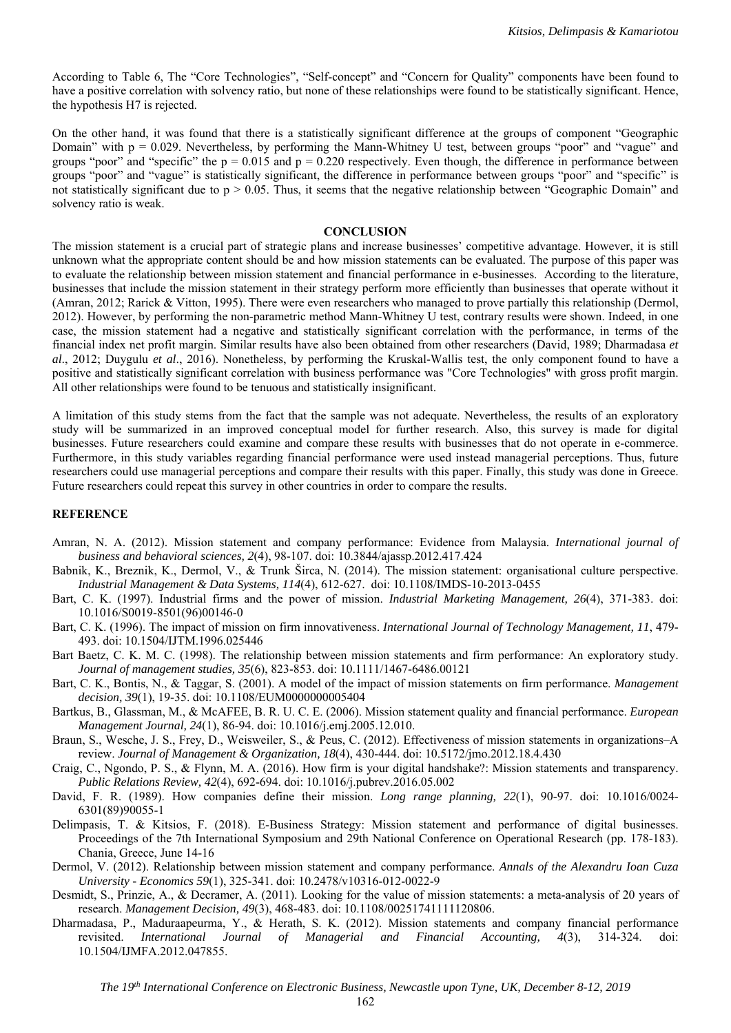According to Table 6, The "Core Technologies", "Self-concept" and "Concern for Quality" components have been found to have a positive correlation with solvency ratio, but none of these relationships were found to be statistically significant. Hence, the hypothesis H7 is rejected.

On the other hand, it was found that there is a statistically significant difference at the groups of component "Geographic Domain" with p = 0.029. Nevertheless, by performing the Mann-Whitney U test, between groups "poor" and "vague" and groups "poor" and "specific" the  $p = 0.015$  and  $p = 0.220$  respectively. Even though, the difference in performance between groups "poor" and "vague" is statistically significant, the difference in performance between groups "poor" and "specific" is not statistically significant due to  $p > 0.05$ . Thus, it seems that the negative relationship between "Geographic Domain" and solvency ratio is weak.

#### **CONCLUSION**

The mission statement is a crucial part of strategic plans and increase businesses' competitive advantage. However, it is still unknown what the appropriate content should be and how mission statements can be evaluated. The purpose of this paper was to evaluate the relationship between mission statement and financial performance in e-businesses. According to the literature, businesses that include the mission statement in their strategy perform more efficiently than businesses that operate without it (Amran, 2012; Rarick & Vitton, 1995). There were even researchers who managed to prove partially this relationship (Dermol, 2012). However, by performing the non-parametric method Mann-Whitney U test, contrary results were shown. Indeed, in one case, the mission statement had a negative and statistically significant correlation with the performance, in terms of the financial index net profit margin. Similar results have also been obtained from other researchers (David, 1989; Dharmadasa *et al*., 2012; Duygulu *et al*., 2016). Nonetheless, by performing the Kruskal-Wallis test, the only component found to have a positive and statistically significant correlation with business performance was "Core Technologies" with gross profit margin. All other relationships were found to be tenuous and statistically insignificant.

A limitation of this study stems from the fact that the sample was not adequate. Nevertheless, the results of an exploratory study will be summarized in an improved conceptual model for further research. Also, this survey is made for digital businesses. Future researchers could examine and compare these results with businesses that do not operate in e-commerce. Furthermore, in this study variables regarding financial performance were used instead managerial perceptions. Thus, future researchers could use managerial perceptions and compare their results with this paper. Finally, this study was done in Greece. Future researchers could repeat this survey in other countries in order to compare the results.

#### **REFERENCE**

- Amran, N. A. (2012). Mission statement and company performance: Evidence from Malaysia. *International journal of business and behavioral sciences, 2*(4), 98-107. doi: 10.3844/ajassp.2012.417.424
- Babnik, K., Breznik, K., Dermol, V., & Trunk Širca, N. (2014). The mission statement: organisational culture perspective. *Industrial Management & Data Systems, 114*(4), 612-627. doi: 10.1108/IMDS-10-2013-0455
- Bart, C. K. (1997). Industrial firms and the power of mission. *Industrial Marketing Management, 26*(4), 371-383. doi: 10.1016/S0019-8501(96)00146-0
- Bart, C. K. (1996). The impact of mission on firm innovativeness. *International Journal of Technology Management, 11*, 479- 493. doi: 10.1504/IJTM.1996.025446
- Bart Baetz, C. K. M. C. (1998). The relationship between mission statements and firm performance: An exploratory study. *Journal of management studies, 35*(6), 823-853. doi: 10.1111/1467-6486.00121
- Bart, C. K., Bontis, N., & Taggar, S. (2001). A model of the impact of mission statements on firm performance. *Management decision, 39*(1), 19-35. doi: 10.1108/EUM0000000005404
- Bartkus, B., Glassman, M., & McAFEE, B. R. U. C. E. (2006). Mission statement quality and financial performance. *European Management Journal, 24*(1), 86-94. doi: 10.1016/j.emj.2005.12.010.
- Braun, S., Wesche, J. S., Frey, D., Weisweiler, S., & Peus, C. (2012). Effectiveness of mission statements in organizations–A review. *Journal of Management & Organization, 18*(4), 430-444. doi: 10.5172/jmo.2012.18.4.430
- Craig, C., Ngondo, P. S., & Flynn, M. A. (2016). How firm is your digital handshake?: Mission statements and transparency. *Public Relations Review, 42*(4), 692-694. doi: 10.1016/j.pubrev.2016.05.002
- David, F. R. (1989). How companies define their mission. *Long range planning, 22*(1), 90-97. doi: 10.1016/0024- 6301(89)90055-1
- Delimpasis, T. & Kitsios, F. (2018). E-Business Strategy: Mission statement and performance of digital businesses. Proceedings of the 7th International Symposium and 29th National Conference on Operational Research (pp. 178-183). Chania, Greece, June 14-16
- Dermol, V. (2012). Relationship between mission statement and company performance. *Annals of the Alexandru Ioan Cuza University - Economics 59*(1), 325-341. doi: 10.2478/v10316-012-0022-9
- Desmidt, S., Prinzie, A., & Decramer, A. (2011). Looking for the value of mission statements: a meta-analysis of 20 years of research. *Management Decision, 49*(3), 468-483. doi: 10.1108/00251741111120806.
- Dharmadasa, P., Maduraapeurma, Y., & Herath, S. K. (2012). Mission statements and company financial performance revisited. *International Journal of Managerial and Financial Accounting, 4*(3), 314-324. doi: 10.1504/IJMFA.2012.047855.